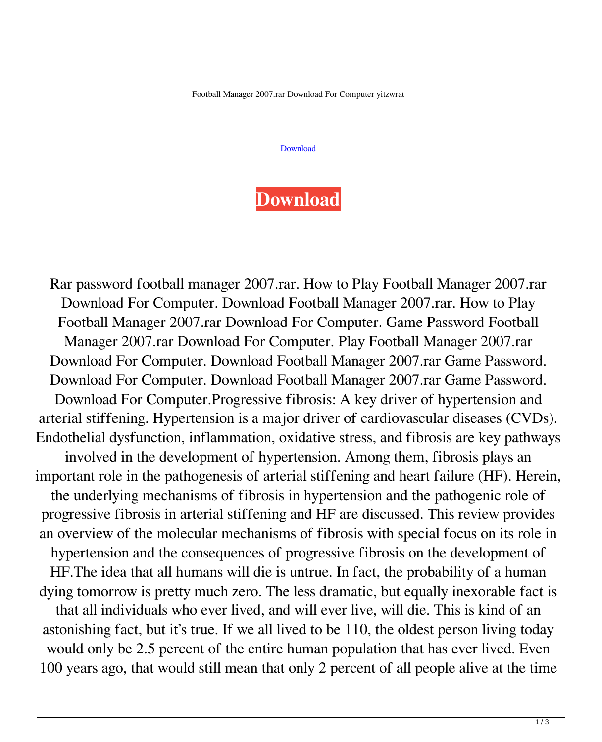Football Manager 2007.rar Download For Computer yitzwrat



Rar password football manager 2007.rar. How to Play Football Manager 2007.rar Download For Computer. Download Football Manager 2007.rar. How to Play Football Manager 2007.rar Download For Computer. Game Password Football Manager 2007.rar Download For Computer. Play Football Manager 2007.rar Download For Computer. Download Football Manager 2007.rar Game Password. Download For Computer. Download Football Manager 2007.rar Game Password. Download For Computer.Progressive fibrosis: A key driver of hypertension and arterial stiffening. Hypertension is a major driver of cardiovascular diseases (CVDs). Endothelial dysfunction, inflammation, oxidative stress, and fibrosis are key pathways involved in the development of hypertension. Among them, fibrosis plays an important role in the pathogenesis of arterial stiffening and heart failure (HF). Herein, the underlying mechanisms of fibrosis in hypertension and the pathogenic role of progressive fibrosis in arterial stiffening and HF are discussed. This review provides an overview of the molecular mechanisms of fibrosis with special focus on its role in hypertension and the consequences of progressive fibrosis on the development of HF.The idea that all humans will die is untrue. In fact, the probability of a human dying tomorrow is pretty much zero. The less dramatic, but equally inexorable fact is that all individuals who ever lived, and will ever live, will die. This is kind of an astonishing fact, but it's true. If we all lived to be 110, the oldest person living today would only be 2.5 percent of the entire human population that has ever lived. Even 100 years ago, that would still mean that only 2 percent of all people alive at the time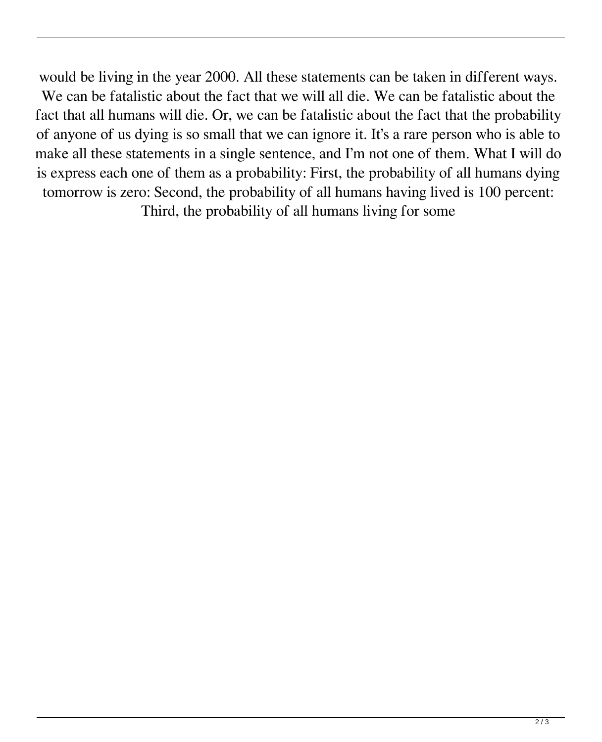would be living in the year 2000. All these statements can be taken in different ways. We can be fatalistic about the fact that we will all die. We can be fatalistic about the fact that all humans will die. Or, we can be fatalistic about the fact that the probability of anyone of us dying is so small that we can ignore it. It's a rare person who is able to make all these statements in a single sentence, and I'm not one of them. What I will do is express each one of them as a probability: First, the probability of all humans dying tomorrow is zero: Second, the probability of all humans having lived is 100 percent: Third, the probability of all humans living for some